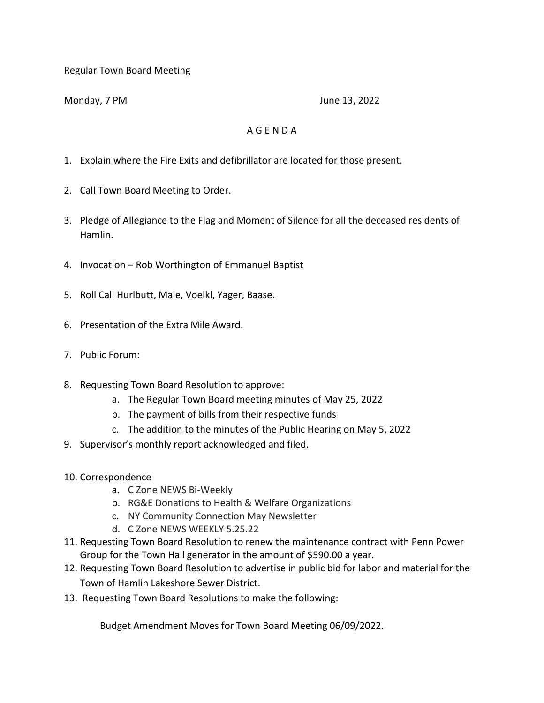Regular Town Board Meeting

Monday, 7 PM June 13, 2022

## A G E N D A

- 1. Explain where the Fire Exits and defibrillator are located for those present.
- 2. Call Town Board Meeting to Order.
- 3. Pledge of Allegiance to the Flag and Moment of Silence for all the deceased residents of Hamlin.
- 4. Invocation Rob Worthington of Emmanuel Baptist
- 5. Roll Call Hurlbutt, Male, Voelkl, Yager, Baase.
- 6. Presentation of the Extra Mile Award.
- 7. Public Forum:
- 8. Requesting Town Board Resolution to approve:
	- a. The Regular Town Board meeting minutes of May 25, 2022
	- b. The payment of bills from their respective funds
	- c. The addition to the minutes of the Public Hearing on May 5, 2022
- 9. Supervisor's monthly report acknowledged and filed.
- 10. Correspondence
	- a. C Zone NEWS Bi-Weekly
	- b. RG&E Donations to Health & Welfare Organizations
	- c. NY Community Connection May Newsletter
	- d. C Zone NEWS WEEKLY 5.25.22
- 11. Requesting Town Board Resolution to renew the maintenance contract with Penn Power Group for the Town Hall generator in the amount of \$590.00 a year.
- 12. Requesting Town Board Resolution to advertise in public bid for labor and material for the Town of Hamlin Lakeshore Sewer District.
- 13. Requesting Town Board Resolutions to make the following:

Budget Amendment Moves for Town Board Meeting 06/09/2022.